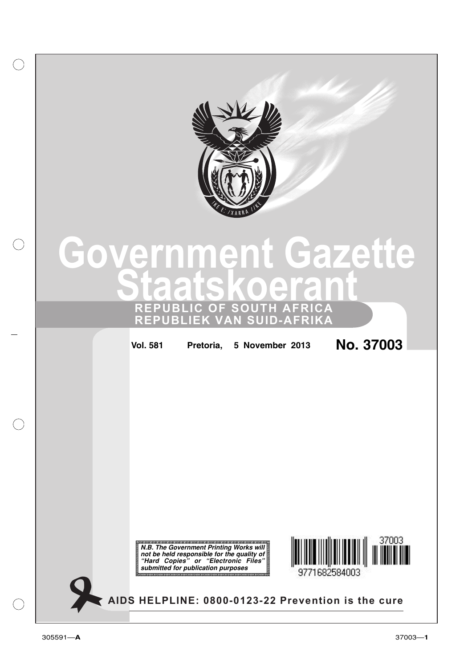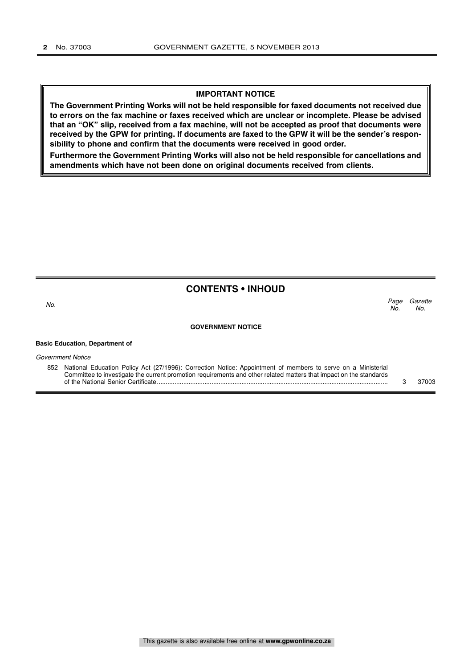#### **IMPORTANT NOTICE**

**The Government Printing Works will not be held responsible for faxed documents not received due to errors on the fax machine or faxes received which are unclear or incomplete. Please be advised that an "OK" slip, received from a fax machine, will not be accepted as proof that documents were received by the GPW for printing. If documents are faxed to the GPW it will be the sender's responsibility to phone and confirm that the documents were received in good order.**

**Furthermore the Government Printing Works will also not be held responsible for cancellations and amendments which have not been done on original documents received from clients.**

|  | <b>CONTENTS • INHOUD</b> |  |  |
|--|--------------------------|--|--|
|--|--------------------------|--|--|

No.  $\sim$  No.

#### **GOVERNMENT NOTICE**

#### **Basic Education, Department of**

Government Notice

852 National Education Policy Act (27/1996): Correction Notice: Appointment of members to serve on a Ministerial Committee to investigate the current promotion requirements and other related matters that impact on the standards of the National Senior Certificate................................................................................................................................... 3 37003

Page

Gazette No.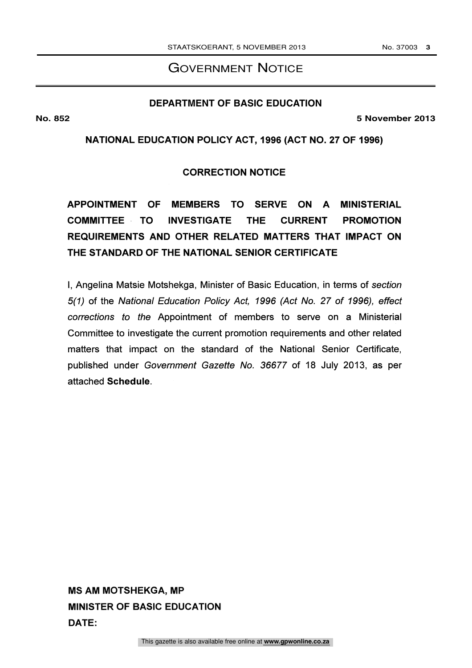# GOVERNMENT NOTICE

### **DEPARTMENT OF BASIC EDUCATION**

**No. 852 5 November 2013**

NATIONAL EDUCATION POLICY ACT, 1996 (ACT NO. 27 OF 1996)

## CORRECTION NOTICE

APPOINTMENT OF MEMBERS TO SERVE ON A MINISTERIAL COMMITTEE TO INVESTIGATE THE CURRENT PROMOTION REQUIREMENTS AND OTHER RELATED MATTERS THAT IMPACT ON THE STANDARD OF THE NATIONAL SENIOR CERTIFICATE

I, Angelina Matsie Motshekga, Minister of Basic Education, in terms of section 5(1) of the National Education Policy Act, 1996 (Act No. 27 of 1996), effect corrections to the Appointment of members to serve on a Ministerial Committee to investigate the current promotion requirements and other related matters that impact on the standard of the National Senior Certificate, published under Government Gazette No. 36677 of 18 July 2013, as per attached Schedule.

MS AM MOTSHEKGA, MP MINISTER OF BASIC EDUCATION DATE: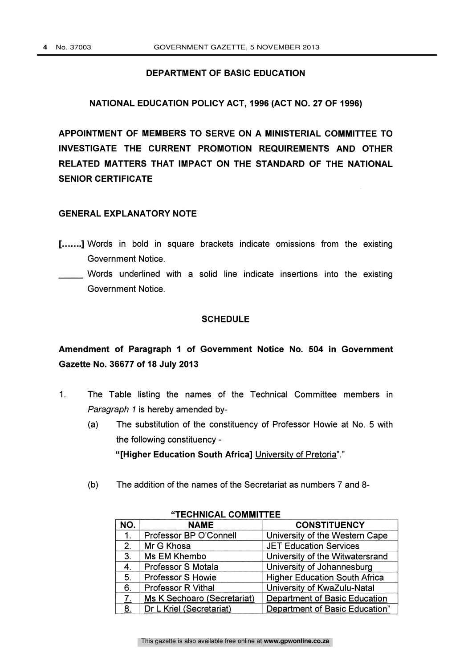### DEPARTMENT OF BASIC EDUCATION

### NATIONAL EDUCATION POLICY ACT, 1996 (ACT NO. 27 OF 1996)

APPOINTMENT OF MEMBERS TO SERVE ON A MINISTERIAL COMMITTEE TO INVESTIGATE THE CURRENT PROMOTION REQUIREMENTS AND OTHER RELATED MATTERS THAT IMPACT ON THE STANDARD OF THE NATIONAL SENIOR CERTIFICATE

### GENERAL EXPLANATORY NOTE

- [.......] Words in bold in square brackets indicate omissions from the existing Government Notice.
- Words underlined with a solid line indicate insertions into the existing Government Notice.

#### **SCHEDULE**

## Amendment of Paragraph 1 of Government Notice No. 504 in Government Gazette No. 36677 of 18 July 2013

- 1. The Table listing the names of the Technical Committee members in Paragraph 1 is hereby amended by-
	- (a) The substitution of the constituency of Professor Howie at No. 5 with the following constituency -

"[Higher Education South Africa] University of Pretoria"."

(b) The addition of the names of the Secretariat as numbers 7 and 8-

| NO. | <b>NAME</b>                 | <b>CONSTITUENCY</b>                  |  |
|-----|-----------------------------|--------------------------------------|--|
| 1.  | Professor BP O'Connell      | University of the Western Cape       |  |
| 2.  | Mr G Khosa                  | <b>JET Education Services</b>        |  |
| 3.  | Ms EM Khembo                | University of the Witwatersrand      |  |
| 4.  | <b>Professor S Motala</b>   | University of Johannesburg           |  |
| 5.  | <b>Professor S Howie</b>    | <b>Higher Education South Africa</b> |  |
| 6.  | <b>Professor R Vithal</b>   | University of KwaZulu-Natal          |  |
| 7.  | Ms K Sechoaro (Secretariat) | Department of Basic Education        |  |
| 8.  | Dr L Kriel (Secretariat)    | Department of Basic Education"       |  |

#### "TECHNICAL COMMITTEE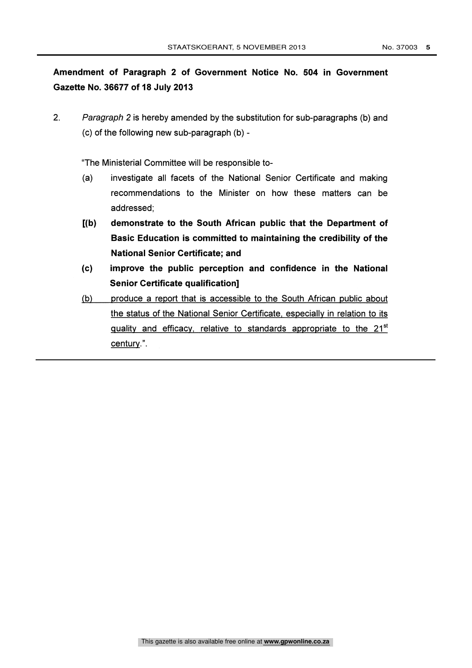# Amendment of Paragraph 2 of Government Notice No. 504 in Government Gazette No. 36677 of 18 July 2013

2. Paragraph 2 is hereby amended by the substitution for sub-paragraphs (b) and (c) of the following new sub-paragraph (b) -

"The Ministerial Committee will be responsible to-

- (a) investigate all facets of the National Senior Certificate and making recommendations to the Minister on how these matters can be addressed;
- [(b) demonstrate to the South African public that the Department of Basic Education is committed to maintaining the credibility of the National Senior Certificate; and
- (c) improve the public perception and confidence in the National Senior Certificate qualification]
- (b) produce a report that is accessible to the South African public about the status of the National Senior Certificate, especially in relation to its guality and efficacy, relative to standards appropriate to the 21<sup>st</sup> century.".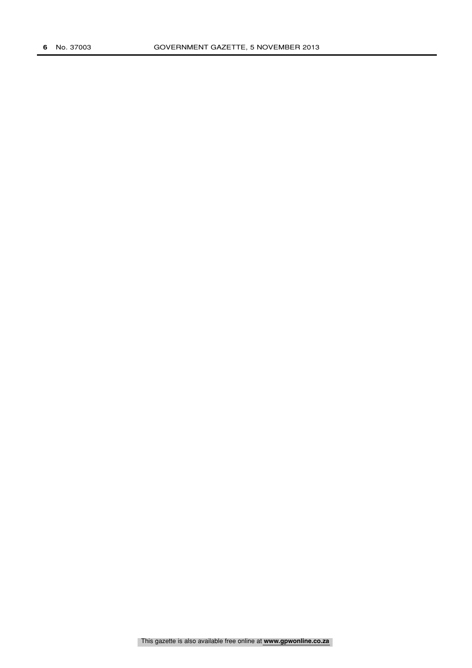This gazette is also available free online at **www.gpwonline.co.za**